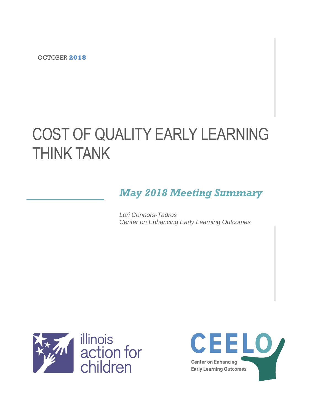OCTOBER **2018**

# COST OF QUALITY EARLY LEARNING THINK TANK

# *May 2018 Meeting Summary*

*Lori Connors-Tadros Center on Enhancing Early Learning Outcomes*



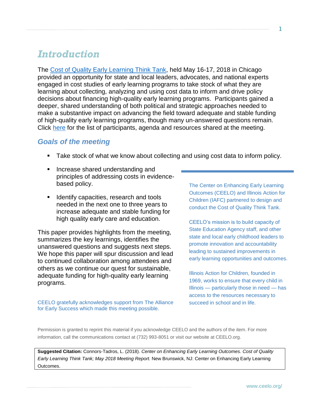# *Introduction*

The [Cost of Quality Early Learning Think Tank,](http://ceelo.org/may-2018-cpqr-thinktank/) held May 16-17, 2018 in Chicago provided an opportunity for state and local leaders, advocates, and national experts engaged in cost studies of early learning programs to take stock of what they are learning about collecting, analyzing and using cost data to inform and drive policy decisions about financing high-quality early learning programs. Participants gained a deeper, shared understanding of both political and strategic approaches needed to make a substantive impact on advancing the field toward adequate and stable funding of high-quality early learning programs, though many un-answered questions remain. Click [here](http://ceelo.org/may-2018-cpqr-thinktank/) for the list of participants, agenda and resources shared at the meeting.

#### *Goals of the meeting*

- Take stock of what we know about collecting and using cost data to inform policy.
- Increase shared understanding and principles of addressing costs in evidencebased policy.
- **EXEC** Identify capacities, research and tools needed in the next one to three years to increase adequate and stable funding for high quality early care and education.

This paper provides highlights from the meeting, summarizes the key learnings, identifies the unanswered questions and suggests next steps. We hope this paper will spur discussion and lead to continued collaboration among attendees and others as we continue our quest for sustainable, adequate funding for high-quality early learning programs.

CEELO gratefully acknowledges support from The Alliance for Early Success which made this meeting possible.

The Center on Enhancing Early Learning Outcomes (CEELO) and Illinois Action for Children (IAFC) partnered to design and conduct the Cost of Quality Think Tank.

CEELO's mission is to build capacity of State Education Agency staff, and other state and local early childhood leaders to promote innovation and accountability leading to sustained improvements in early learning opportunities and outcomes.

Illinois Action for Children, founded in 1969, works to ensure that every child in Illinois — particularly those in need — has access to the resources necessary to succeed in school and in life.

Permission is granted to reprint this material if you acknowledge CEELO and the authors of the item. For more information, call the communications contact at (732) 993-8051 or visit our website at CEELO.org.

**Suggested Citation:** Connors-Tadros, L. (2018). *Center on Enhancing Early Learning Outcomes. Cost of Quality Early Learning Think Tank; May 2018 Meeting Report.* New Brunswick, NJ: Center on Enhancing Early Learning Outcomes.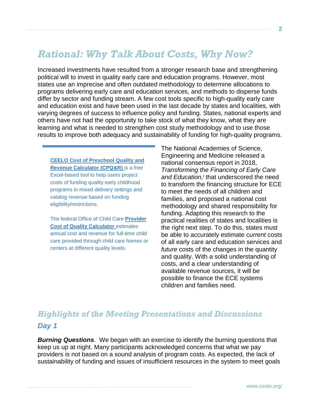# *Rational: Why Talk About Costs, Why Now?*

Increased investments have resulted from a stronger research base and strengthening political will to invest in quality early care and education programs. However, most states use an imprecise and often outdated methodology to determine allocations to programs delivering early care and education services, and methods to disperse funds differ by sector and funding stream. A few cost tools specific to high-quality early care and education exist and have been used in the last decade by states and localities, with varying degrees of success to influence policy and funding. States, national experts and others have not had the opportunity to take stock of what they know, what they are learning and what is needed to strengthen cost study methodology and to use those results to improve both adequacy and sustainability of funding for high-quality programs.

**[CEELO Cost of Preschool Quality and](http://ceelo.org/cost-of-preschool-quality-tool/)  [Revenue Calculator](http://ceelo.org/cost-of-preschool-quality-tool/) (CPQ&R)** is a free Excel-based tool to help users project costs of funding quality early childhood programs in mixed delivery settings and catalog revenue based on funding eligibility/restrictions.

The federal Office of Child Care **[Provider](https://childcareta.acf.hhs.gov/pcqc)  [Cost of Quality Calculator](https://childcareta.acf.hhs.gov/pcqc)** *estimates* annual cost and revenue for full-time child care provided through child care homes or centers at different quality levels.

The National Academies of Science, Engineering and Medicine released a national consensus report in 2018, *Transforming the Financing of Early Care and Education,<sup>i</sup>* that underscored the need to transform the financing structure for ECE to meet the needs of all children and families, and proposed a national cost methodology and shared responsibility for funding. Adapting this research to the practical realities of states and localities is the right next step. To do this, states must be able to accurately estimate c*urrent* costs of all early care and education services and *future* costs of the changes in the quantity and quality. With a solid understanding of costs, and a clear understanding of available revenue sources, it will be possible to finance the ECE systems children and families need.

# *Highlights of the Meeting Presentations and Discussions*

#### *Day 1*

*Burning Questions*. We began with an exercise to identify the burning questions that keep us up at night. Many participants acknowledged concerns that what we pay providers is not based on a sound analysis of program costs. As expected, the lack of sustainability of funding and issues of insufficient resources in the system to meet goals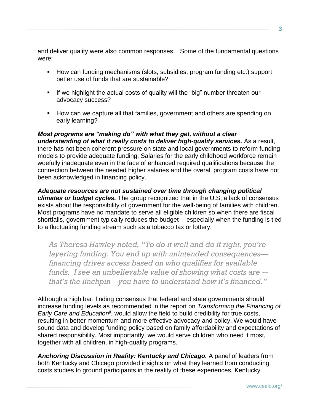and deliver quality were also common responses. Some of the fundamental questions were:

- How can funding mechanisms (slots, subsidies, program funding etc.) support better use of funds that are sustainable?
- **EXT** If we highlight the actual costs of quality will the "big" number threaten our advocacy success?
- How can we capture all that families, government and others are spending on early learning?

*Most programs are "making do" with what they get, without a clear understanding of what it really costs to deliver high-quality services.* As a result, there has not been coherent pressure on state and local governments to reform funding models to provide adequate funding. Salaries for the early childhood workforce remain woefully inadequate even in the face of enhanced required qualifications because the connection between the needed higher salaries and the overall program costs have not been acknowledged in financing policy.

*Adequate resources are not sustained over time through changing political climates or budget cycles.* The group recognized that in the U.S, a lack of consensus exists about the responsibility of government for the well-being of families with children. Most programs have no mandate to serve all eligible children so when there are fiscal shortfalls, government typically reduces the budget -- especially when the funding is tied to a fluctuating funding stream such as a tobacco tax or lottery.

*As Theresa Hawley noted, "To do it well and do it right, you're layering funding. You end up with unintended consequences financing drives access based on who qualifies for available funds. I see an unbelievable value of showing what costs are - that's the linchpin—you have to understand how it's financed."* 

Although a high bar, finding consensus that federal and state governments should increase funding levels as recommended in the report on *Transforming the Financing of*  Early Care and Education<sup>ii</sup>, would allow the field to build credibility for true costs, resulting in better momentum and more effective advocacy and policy. We would have sound data and develop funding policy based on family affordability and expectations of shared responsibility. Most importantly, we would serve children who need it most, together with all children, in high-quality programs.

*Anchoring Discussion in Reality: Kentucky and Chicago.* A panel of leaders from both Kentucky and Chicago provided insights on what they learned from conducting costs studies to ground participants in the reality of these experiences. Kentucky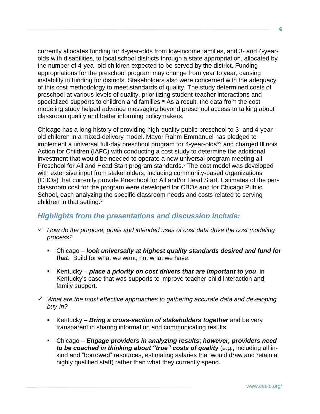currently allocates funding for 4-year-olds from low-income families, and 3- and 4-yearolds with disabilities, to local school districts through a state appropriation, allocated by the number of 4-yea- old children expected to be served by the district. Funding appropriations for the preschool program may change from year to year, causing instability in funding for districts. Stakeholders also were concerned with the adequacy of this cost methodology to meet standards of quality. The study determined costs of preschool at various levels of quality, prioritizing student-teacher interactions and specialized supports to children and families.<sup>iii</sup> As a result, the data from the cost modeling study helped advance messaging beyond preschool access to talking about classroom quality and better informing policymakers.

Chicago has a long history of providing high-quality public preschool to 3- and 4-yearold children in a mixed-delivery model. Mayor Rahm Emmanuel has pledged to implement a universal full-day preschool program for 4-year-olds<sup>iv</sup>; and charged Illinois Action for Children (IAFC) with conducting a cost study to determine the additional investment that would be needed to operate a new universal program meeting all Preschool for All and Head Start program standards.<sup>v</sup> The cost model was developed with extensive input from stakeholders, including community-based organizations (CBOs) that currently provide Preschool for All and/or Head Start. Estimates of the perclassroom cost for the program were developed for CBOs and for Chicago Public School, each analyzing the specific classroom needs and costs related to serving children in that setting. $vi$ 

### *Highlights from the presentations and discussion include:*

- ✓ *How do the purpose, goals and intended uses of cost data drive the cost modeling process?*
	- Chicago *look universally at highest quality standards desired and fund for that*. Build for what we want, not what we have.
	- Kentucky *place a priority on cost drivers that are important to you*, in Kentucky's case that was supports to improve teacher-child interaction and family support.
- ✓ *What are the most effective approaches to gathering accurate data and developing buy-in?*
	- Kentucky *Bring a cross-section of stakeholders together* and be very transparent in sharing information and communicating results.
	- Chicago *Engage providers in analyzing results*; *however, providers need to be coached in thinking about "true" costs of quality* (e.g., including all inkind and "borrowed" resources, estimating salaries that would draw and retain a highly qualified staff) rather than what they currently spend.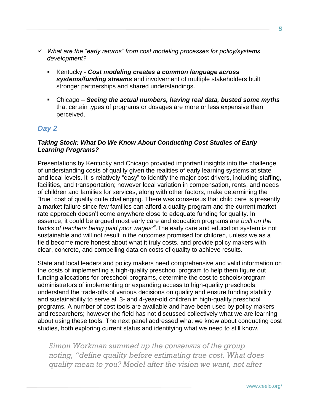- ✓ *What are the "early returns" from cost modeling processes for policy/systems development?*
	- Kentucky *Cost modeling creates a common language across systems/funding streams* and involvement of multiple stakeholders built stronger partnerships and shared understandings.
	- Chicago *Seeing the actual numbers, having real data, busted some myths* that certain types of programs or dosages are more or less expensive than perceived.

### *Day 2*

#### *Taking Stock: What Do We Know About Conducting Cost Studies of Early Learning Programs?*

Presentations by Kentucky and Chicago provided important insights into the challenge of understanding costs of quality given the realities of early learning systems at state and local levels. It is relatively "easy" to identify the major cost drivers, including staffing, facilities, and transportation; however local variation in compensation, rents, and needs of children and families for services, along with other factors, make determining the "true" cost of quality quite challenging. There was consensus that child care is presently a market failure since few families can afford a quality program and the current market rate approach doesn't come anywhere close to adequate funding for quality. In essence, it could be argued most early care and education programs are *built on the backs of teachers being paid poor wagesvii .*The early care and education system is not sustainable and will not result in the outcomes promised for children, unless we as a field become more honest about what it truly costs, and provide policy makers with clear, concrete, and compelling data on costs of quality to achieve results.

State and local leaders and policy makers need comprehensive and valid information on the costs of implementing a high-quality preschool program to help them figure out funding allocations for preschool programs, determine the cost to schools/program administrators of implementing or expanding access to high-quality preschools, understand the trade-offs of various decisions on quality and ensure funding stability and sustainability to serve all 3- and 4-year-old children in high-quality preschool programs. A number of cost tools are available and have been used by policy makers and researchers; however the field has not discussed collectively what we are learning about using these tools. The next panel addressed what we know about conducting cost studies, both exploring current status and identifying what we need to still know.

*Simon Workman summed up the consensus of the group noting, "define quality before estimating true cost. What does quality mean to you? Model after the vision we want, not after*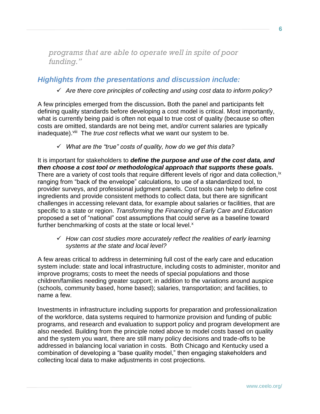*programs that are able to operate well in spite of poor funding."*

### *Highlights from the presentations and discussion include:*

#### ✓ *Are there core principles of collecting and using cost data to inform policy?*

A few principles emerged from the discussion**.** Both the panel and participants felt defining quality standards before developing a cost model is critical. Most importantly, what is currently being paid is often not equal to true cost of quality (because so often costs are omitted, standards are not being met, and/or current salaries are typically inadequate).<sup>viii</sup> The *true cost* reflects what we want our system to be.

✓ *What are the "true" costs of quality, how do we get this data?*

It is important for stakeholders to *define the purpose and use of the cost data, and then choose a cost tool or methodological approach that supports these goals.* There are a variety of cost tools that require different levels of rigor and data collection, ix ranging from "back of the envelope" calculations, to use of a standardized tool, to provider surveys, and professional judgment panels. Cost tools can help to define cost ingredients and provide consistent methods to collect data, but there are significant challenges in accessing relevant data, for example about salaries or facilities, that are specific to a state or region. *Transforming the Financing of Early Care and Education* proposed a set of "national" cost assumptions that could serve as a baseline toward further benchmarking of costs at the state or local level. $x$ 

#### ✓ *How can cost studies more accurately reflect the realities of early learning systems at the state and local level?*

A few areas critical to address in determining full cost of the early care and education system include: state and local infrastructure, including costs to administer, monitor and improve programs; costs to meet the needs of special populations and those children/families needing greater support; in addition to the variations around auspice (schools, community based, home based); salaries, transportation; and facilities, to name a few.

Investments in infrastructure including supports for preparation and professionalization of the workforce, data systems required to harmonize provision and funding of public programs, and research and evaluation to support policy and program development are also needed. Building from the principle noted above to model costs based on quality and the system you want, there are still many policy decisions and trade-offs to be addressed in balancing local variation in costs. Both Chicago and Kentucky used a combination of developing a "base quality model," then engaging stakeholders and collecting local data to make adjustments in cost projections.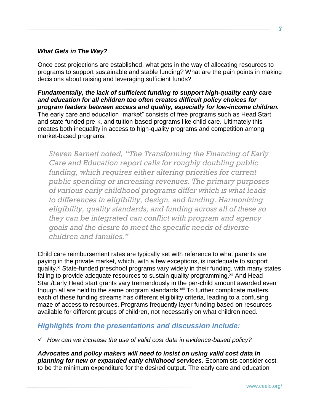#### *What Gets in The Way?*

Once cost projections are established, what gets in the way of allocating resources to programs to support sustainable and stable funding? What are the pain points in making decisions about raising and leveraging sufficient funds?

*Fundamentally, the lack of sufficient funding to support high-quality early care and education for all children too often creates difficult policy choices for program leaders between access and quality, especially for low-income children.*  The early care and education "market" consists of free programs such as Head Start and state funded pre-k, and tuition-based programs like child care. Ultimately this creates both inequality in access to high-quality programs and competition among market-based programs.

*Steven Barnett noted, "The Transforming the Financing of Early Care and Education report calls for roughly doubling public funding, which requires either altering priorities for current public spending or increasing revenues. The primary purposes of various early childhood programs differ which is what leads to differences in eligibility, design, and funding. Harmonizing eligibility, quality standards, and funding across all of these so they can be integrated can conflict with program and agency goals and the desire to meet the specific needs of diverse children and families."*

Child care reimbursement rates are typically set with reference to what parents are paying in the private market, which, with a few exceptions, is inadequate to support quality.<sup>xi</sup> State-funded preschool programs vary widely in their funding, with many states failing to provide adequate resources to sustain quality programming.<sup>xii</sup> And Head Start/Early Head start grants vary tremendously in the per-child amount awarded even though all are held to the same program standards. Xiii To further complicate matters, each of these funding streams has different eligibility criteria, leading to a confusing maze of access to resources. Programs frequently layer funding based on resources available for different groups of children, not necessarily on what children need.

### *Highlights from the presentations and discussion include:*

✓ *How can we increase the use of valid cost data in evidence-based policy?*

*Advocates and policy makers will need to insist on using valid cost data in planning for new or expanded early childhood services.* Economists consider cost to be the minimum expenditure for the desired output. The early care and education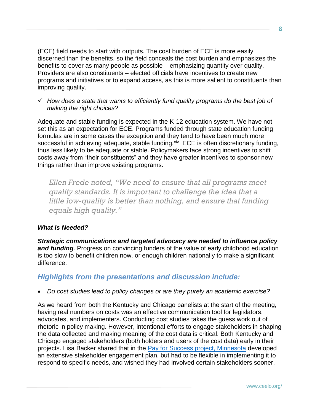(ECE) field needs to start with outputs. The cost burden of ECE is more easily discerned than the benefits, so the field conceals the cost burden and emphasizes the benefits to cover as many people as possible – emphasizing quantity over quality. Providers are also constituents – elected officials have incentives to create new programs and initiatives or to expand access, as this is more salient to constituents than improving quality.

✓ *How does a state that wants to efficiently fund quality programs do the best job of making the right choices?* 

Adequate and stable funding is expected in the K-12 education system. We have not set this as an expectation for ECE. Programs funded through state education funding formulas are in some cases the exception and they tend to have been much more successful in achieving adequate, stable funding. Xiv ECE is often discretionary funding, thus less likely to be adequate or stable. Policymakers face strong incentives to shift costs away from "their constituents" and they have greater incentives to sponsor new things rather than improve existing programs.

*Ellen Frede noted, "We need to ensure that all programs meet quality standards. It is important to challenge the idea that a little low-quality is better than nothing, and ensure that funding equals high quality."*

#### *What Is Needed?*

*Strategic communications and targeted advocacy are needed to influence policy*  and funding. Progress on convincing funders of the value of early childhood education is too slow to benefit children now, or enough children nationally to make a significant difference.

### *Highlights from the presentations and discussion include:*

#### • *Do cost studies lead to policy changes or are they purely an academic exercise?*

As we heard from both the Kentucky and Chicago panelists at the start of the meeting, having real numbers on costs was an effective communication tool for legislators, advocates, and implementers. Conducting cost studies takes the guess work out of rhetoric in policy making. However, intentional efforts to engage stakeholders in shaping the data collected and making meaning of the cost data is critical. Both Kentucky and Chicago engaged stakeholders (both holders and users of the cost data) early in their projects. Lisa Backer shared that in the [Pay for Success project, Minnesota](http://ceelo.org/wp-content/uploads/2018/05/R5_MN.pdf) developed an extensive stakeholder engagement plan, but had to be flexible in implementing it to respond to specific needs, and wished they had involved certain stakeholders sooner.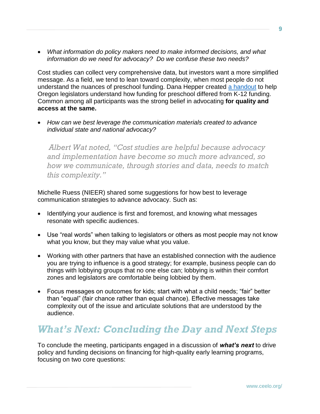• *What information do policy makers need to make informed decisions, and what information do we need for advocacy? Do we confuse these two needs?* 

Cost studies can collect very comprehensive data, but investors want a more simplified message. As a field, we tend to lean toward complexity, when most people do not understand the nuances of preschool funding. Dana Hepper created [a handout](http://ceelo.org/wp-content/uploads/2018/05/R6_OR.pdf) to help Oregon legislators understand how funding for preschool differed from K-12 funding. Common among all participants was the strong belief in advocating **for quality and access at the same.** 

• *How can we best leverage the communication materials created to advance individual state and national advocacy?*

*Albert Wat noted, "Cost studies are helpful because advocacy and implementation have become so much more advanced, so how we communicate, through stories and data, needs to match this complexity."* 

Michelle Ruess (NIEER) shared some suggestions for how best to leverage communication strategies to advance advocacy. Such as:

- Identifying your audience is first and foremost, and knowing what messages resonate with specific audiences.
- Use "real words" when talking to legislators or others as most people may not know what you know, but they may value what you value.
- Working with other partners that have an established connection with the audience you are trying to influence is a good strategy; for example, business people can do things with lobbying groups that no one else can; lobbying is within their comfort zones and legislators are comfortable being lobbied by them.
- Focus messages on outcomes for kids; start with what a child needs; "fair" better than "equal" (fair chance rather than equal chance). Effective messages take complexity out of the issue and articulate solutions that are understood by the audience.

# *What's Next: Concluding the Day and Next Steps*

To conclude the meeting, participants engaged in a discussion of *what's next* to drive policy and funding decisions on financing for high-quality early learning programs, focusing on two core questions: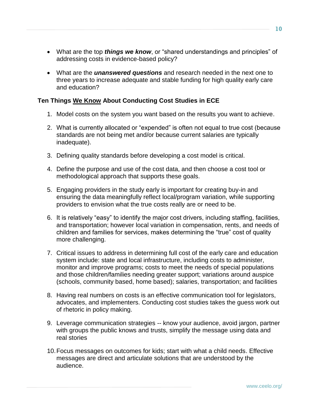- What are the top *things we know*, or "shared understandings and principles" of addressing costs in evidence-based policy?
- What are the *unanswered questions* and research needed in the next one to three years to increase adequate and stable funding for high quality early care and education?

#### **Ten Things We Know About Conducting Cost Studies in ECE**

- 1. Model costs on the system you want based on the results you want to achieve.
- 2. What is currently allocated or "expended" is often not equal to true cost (because standards are not being met and/or because current salaries are typically inadequate).
- 3. Defining quality standards before developing a cost model is critical.
- 4. Define the purpose and use of the cost data, and then choose a cost tool or methodological approach that supports these goals.
- 5. Engaging providers in the study early is important for creating buy-in and ensuring the data meaningfully reflect local/program variation, while supporting providers to envision what the true costs really are or need to be.
- 6. It is relatively "easy" to identify the major cost drivers, including staffing, facilities, and transportation; however local variation in compensation, rents, and needs of children and families for services, makes determining the "true" cost of quality more challenging.
- 7. Critical issues to address in determining full cost of the early care and education system include: state and local infrastructure, including costs to administer, monitor and improve programs; costs to meet the needs of special populations and those children/families needing greater support; variations around auspice (schools, community based, home based); salaries, transportation; and facilities
- 8. Having real numbers on costs is an effective communication tool for legislators, advocates, and implementers. Conducting cost studies takes the guess work out of rhetoric in policy making.
- 9. Leverage communication strategies -- know your audience, avoid jargon, partner with groups the public knows and trusts, simplify the message using data and real stories
- 10.Focus messages on outcomes for kids; start with what a child needs. Effective messages are direct and articulate solutions that are understood by the audience.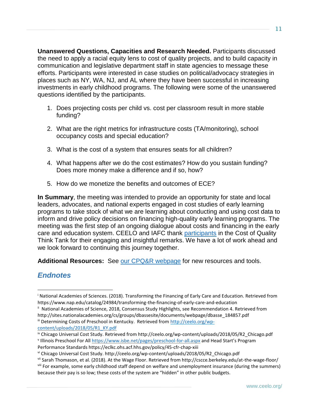**Unanswered Questions, Capacities and Research Needed.** Participants discussed the need to apply a racial equity lens to cost of quality projects, and to build capacity in communication and legislative department staff in state agencies to message these efforts. Participants were interested in case studies on political/advocacy strategies in places such as NY, WA, NJ, and AL where they have been successful in increasing investments in early childhood programs. The following were some of the unanswered questions identified by the participants.

- 1. Does projecting costs per child vs. cost per classroom result in more stable funding?
- 2. What are the right metrics for infrastructure costs (TA/monitoring), school occupancy costs and special education?
- 3. What is the cost of a system that ensures seats for all children?
- 4. What happens after we do the cost estimates? How do you sustain funding? Does more money make a difference and if so, how?
- 5. How do we monetize the benefits and outcomes of ECE?

**In Summary**, the meeting was intended to provide an opportunity for state and local leaders, advocates, and national experts engaged in cost studies of early learning programs to take stock of what we are learning about conducting and using cost data to inform and drive policy decisions on financing high-quality early learning programs. The meeting was the first step of an ongoing dialogue about costs and financing in the early care and education system. CEELO and IAFC thank [participants](http://ceelo.org/wp-content/uploads/2018/05/BioParticipantList_short_toPrint.pdf) in the Cost of Quality Think Tank for their engaging and insightful remarks. We have a lot of work ahead and we look forward to continuing this journey together.

Additional Resources: See [our CPQ&R webpage](http://ceelo.org/cost-of-preschool-quality-tool/) for new resources and tools.

# *Endnotes*

 $\overline{a}$ 

ii National Academies of Science, 2018, Consensus Study Highlights, see Recommendation 4. Retrieved from http://sites.nationalacademies.org/cs/groups/dbassesite/documents/webpage/dbasse\_184857.pdf

iii Determining Costs of Preschool in Kentucky. Retrieved from [http://ceelo.org/wp](http://ceelo.org/wp-content/uploads/2018/05/R1_KY.pdf)[content/uploads/2018/05/R1\\_KY.pdf](http://ceelo.org/wp-content/uploads/2018/05/R1_KY.pdf)

<sup>i</sup> National Academies of Sciences. (2018). Transforming the Financing of Early Care and Education. Retrieved from https://www.nap.edu/catalog/24984/transforming-the-financing-of-early-care-and-education

iv Chicago Universal Cost Study. Retrieved from http://ceelo.org/wp-content/uploads/2018/05/R2\_Chicago.pdf Illinois Preschool For All<https://www.isbe.net/pages/preschool-for-all.aspx> and Head Start's Program Performance Standards https://eclkc.ohs.acf.hhs.gov/policy/45-cfr-chap-xiii

vi Chicago Universal Cost Study. http://ceelo.org/wp-content/uploads/2018/05/R2\_Chicago.pdf

vii Sarah Thomason, et al. (2018). At the Wage Floor. Retrieved from http://cscce.berkeley.edu/at-the-wage-floor/ viii For example, some early childhood staff depend on welfare and unemployment insurance (during the summers) because their pay is so low; these costs of the system are "hidden" in other public budgets.